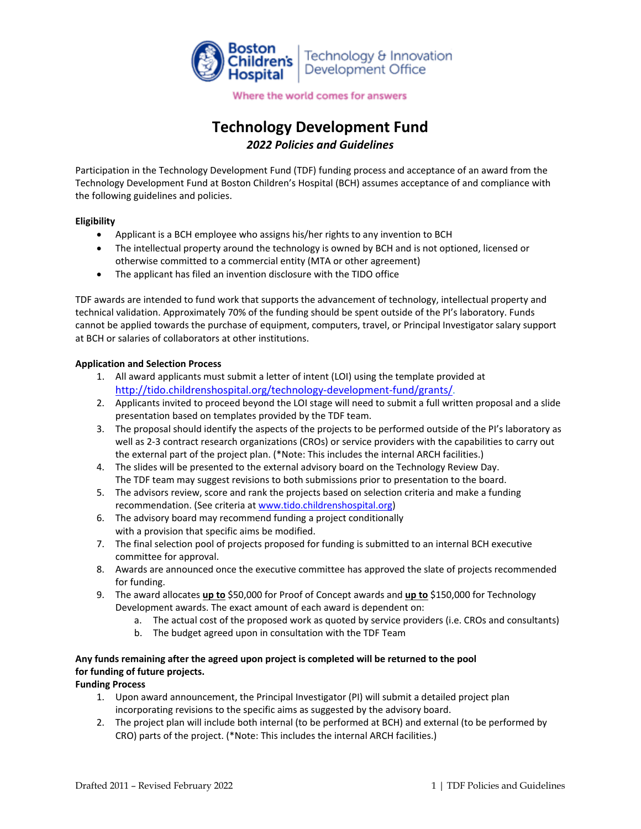

Where the world comes for answers

# **Technology Development Fund** *2022 Policies and Guidelines*

Participation in the Technology Development Fund (TDF) funding process and acceptance of an award from the Technology Development Fund at Boston Children's Hospital (BCH) assumes acceptance of and compliance with the following guidelines and policies.

# **Eligibility**

- Applicant is a BCH employee who assigns his/her rights to any invention to BCH
- The intellectual property around the technology is owned by BCH and is not optioned, licensed or otherwise committed to a commercial entity (MTA or other agreement)
- The applicant has filed an invention disclosure with the TIDO office

TDF awards are intended to fund work that supports the advancement of technology, intellectual property and technical validation. Approximately 70% of the funding should be spent outside of the PI's laboratory. Funds cannot be applied towards the purchase of equipment, computers, travel, or Principal Investigator salary support at BCH or salaries of collaborators at other institutions.

# **Application and Selection Process**

- 1. All award applicants must submit a letter of intent (LOI) using the template provided at [http://tido.childrenshospital.org/technology-development-fund/grants/.](http://tido.childrenshospital.org/technology-development-fund/grants/)
- 2. Applicants invited to proceed beyond the LOI stage will need to submit a full written proposal and a slide presentation based on templates provided by the TDF team.
- 3. The proposal should identify the aspects of the projects to be performed outside of the PI's laboratory as well as 2-3 contract research organizations (CROs) or service providers with the capabilities to carry out the external part of the project plan. (\*Note: This includes the internal ARCH facilities.)
- 4. The slides will be presented to the external advisory board on the Technology Review Day. The TDF team may suggest revisions to both submissions prior to presentation to the board.
- 5. The advisors review, score and rank the projects based on selection criteria and make a funding recommendation. (See criteria at [www.tido.childrenshospital.org\)](http://tido.childrenshospital.org/technology-development-fund/grants/)
- 6. The advisory board may recommend funding a project conditionally with a provision that specific aims be modified.
- 7. The final selection pool of projects proposed for funding is submitted to an internal BCH executive committee for approval.
- 8. Awards are announced once the executive committee has approved the slate of projects recommended for funding.
- 9. The award allocates **up to** \$50,000 for Proof of Concept awards and **up to** \$150,000 for Technology Development awards. The exact amount of each award is dependent on:
	- a. The actual cost of the proposed work as quoted by service providers (i.e. CROs and consultants)
	- b. The budget agreed upon in consultation with the TDF Team

# **Any funds remaining after the agreed upon project is completed will be returned to the pool for funding of future projects.**

# **Funding Process**

- 1. Upon award announcement, the Principal Investigator (PI) will submit a detailed project plan incorporating revisions to the specific aims as suggested by the advisory board.
- 2. The project plan will include both internal (to be performed at BCH) and external (to be performed by CRO) parts of the project. (\*Note: This includes the internal ARCH facilities.)